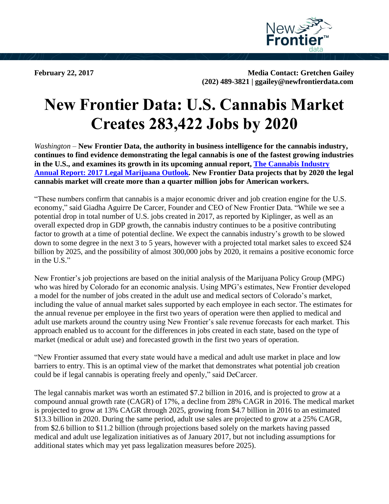

**February 22, 2017 Media Contact: Gretchen Gailey (202) 489-3821 | ggailey@newfrontierdata.com**

## **New Frontier Data: U.S. Cannabis Market Creates 283,422 Jobs by 2020**

*Washington* – **New Frontier Data, the authority in business intelligence for the cannabis industry, continues to find evidence demonstrating the legal cannabis is one of the fastest growing industries in the U.S., and examines its growth in its upcoming annual report, [The Cannabis Industry](https://newfrontierdata.com/annualreport2017/)  [Annual Report: 2017 Legal Marijuana Outlook](https://newfrontierdata.com/annualreport2017/)***.* **New Frontier Data projects that by 2020 the legal cannabis market will create more than a quarter million jobs for American workers.**

"These numbers confirm that cannabis is a major economic driver and job creation engine for the U.S. economy," said Giadha Aguirre De Carcer, Founder and CEO of New Frontier Data. "While we see a potential drop in total number of U.S. jobs created in 2017, as reported by Kiplinger, as well as an overall expected drop in GDP growth, the cannabis industry continues to be a positive contributing factor to growth at a time of potential decline. We expect the cannabis industry's growth to be slowed down to some degree in the next 3 to 5 years, however with a projected total market sales to exceed \$24 billion by 2025, and the possibility of almost 300,000 jobs by 2020, it remains a positive economic force in the U.S."

New Frontier's job projections are based on the initial analysis of the Marijuana Policy Group (MPG) who was hired by Colorado for an economic analysis. Using MPG's estimates, New Frontier developed a model for the number of jobs created in the adult use and medical sectors of Colorado's market, including the value of annual market sales supported by each employee in each sector. The estimates for the annual revenue per employee in the first two years of operation were then applied to medical and adult use markets around the country using New Frontier's sale revenue forecasts for each market. This approach enabled us to account for the differences in jobs created in each state, based on the type of market (medical or adult use) and forecasted growth in the first two years of operation.

"New Frontier assumed that every state would have a medical and adult use market in place and low barriers to entry. This is an optimal view of the market that demonstrates what potential job creation could be if legal cannabis is operating freely and openly," said DeCarcer.

The legal cannabis market was worth an estimated \$7.2 billion in 2016, and is projected to grow at a compound annual growth rate (CAGR) of 17%, a decline from 28% CAGR in 2016. The medical market is projected to grow at 13% CAGR through 2025, growing from \$4.7 billion in 2016 to an estimated \$13.3 billion in 2020. During the same period, adult use sales are projected to grow at a 25% CAGR, from \$2.6 billion to \$11.2 billion (through projections based solely on the markets having passed medical and adult use legalization initiatives as of January 2017, but not including assumptions for additional states which may yet pass legalization measures before 2025).